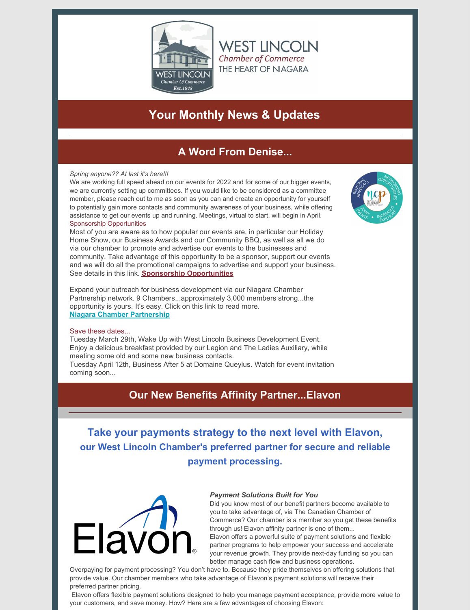

**WEST LINCOLN Chamber of Commerce** THE HEART OF NIAGARA

# **Your Monthly News & Updates**

# **A Word From Denise...**

### *Spring anyone?? At last it's here!!!*

We are working full speed ahead on our events for 2022 and for some of our bigger events, we are currently setting up committees. If you would like to be considered as a committee member, please reach out to me as soon as you can and create an opportunity for yourself to potentially gain more contacts and community awareness of your business, while offering assistance to get our events up and running. Meetings, virtual to start, will begin in April. Sponsorship Opportunities

Most of you are aware as to how popular our events are, in particular our Holiday Home Show, our Business Awards and our Community BBQ, as well as all we do via our chamber to promote and advertise our events to the businesses and community. Take advantage of this opportunity to be a sponsor, support our events and we will do all the promotional campaigns to advertise and support your business. See details in this link. **Sponsorship [Opportunities](https://files.constantcontact.com/52397edd601/ebf291c6-06e4-4a36-a264-27ad55fb8b1f.pdf?rdr=true)**

Expand your outreach for business development via our Niagara Chamber Partnership network. 9 Chambers...approximately 3,000 members strong...the opportunity is yours. It's easy. Click on this link to read more. **Niagara Chamber [Partnership](https://www.westlincolnchamber.com/niagara-chamber-partnership-2/)**

### Save these dates...

Tuesday March 29th, Wake Up with West Lincoln Business Development Event. Enjoy a delicious breakfast provided by our Legion and The Ladies Auxiliary, while meeting some old and some new business contacts.

Tuesday April 12th, Business After 5 at Domaine Queylus. Watch for event invitation coming soon...

## **Our New Benefits Affinity Partner...Elavon**

**Take your payments strategy to the next level with Elavon, our West Lincoln Chamber's preferred partner for secure and reliable payment processing.**



#### *Payment Solutions Built for You*

Did you know most of our benefit partners become available to you to take advantage of, via The Canadian Chamber of Commerce? Our chamber is a member so you get these benefits through us! Elavon affinity partner is one of them...

Elavon offers a powerful suite of payment solutions and flexible partner programs to help empower your success and accelerate your revenue growth. They provide next-day funding so you can better manage cash flow and business operations.

Overpaying for payment processing? You don't have to. Because they pride themselves on offering solutions that provide value. Our chamber members who take advantage of Elavon's payment solutions will receive their preferred partner pricing.

Elavon offers flexible payment solutions designed to help you manage payment acceptance, provide more value to your customers, and save money. How? Here are a few advantages of choosing Elavon:

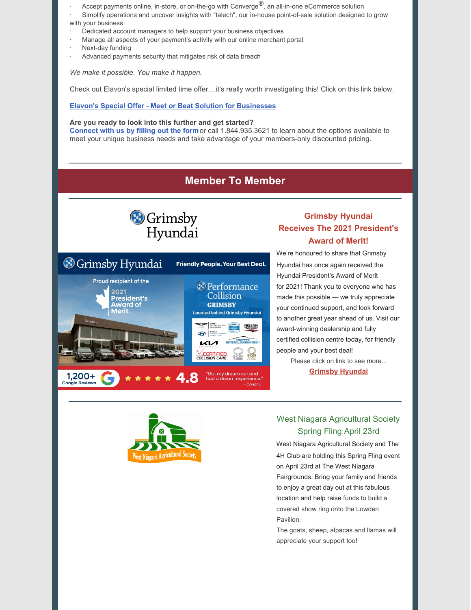- Accept payments online, in-store, or on-the-go with Converge<sup>®</sup>, an all-in-one eCommerce solution
- Simplify operations and uncover insights with "talech", our in-house point-of-sale solution designed to grow with your business
- Dedicated account managers to help support your business objectives
- Manage all aspects of your payment's activity with our online merchant portal
- Next-day funding
- Advanced payments security that mitigates risk of data breach

*We make it possible. You make it happen.*

Check out Elavon's special limited time offer....it's really worth investigating this! Click on this link below.

### **Elavon's Special Offer - Meet or Beat Solution for [Businesses](https://files.constantcontact.com/52397edd601/2addf86e-5a9f-43d7-8061-d4089153d3bd.pdf?rdr=true)**

### **Are you ready to look into this further and get started?**

**[Connect](https://join.paymentstart.com/cachamber) with us by filling out the form**or call 1.844.935.3621 to learn about the options available to meet your unique business needs and take advantage of your members-only discounted pricing.

## **Member To Member**



## **Grimsby Hyundai Receives The 2021 President's Award of Merit!**



We're honoured to share that Grimsby Hyundai has once again received the Hyundai President's Award of Merit for 2021! Thank you to everyone who has made this possible — we truly appreciate your continued support, and look forward to another great year ahead of us. Visit our award-winning dealership and fully certified collision centre today, for friendly people and your best deal!

Please click on link to see more...

**[Grimsby](https://utm.pag.ca/udVza) Hyundai**



### West Niagara Agricultural Society Spring Fling April 23rd

West Niagara Agricultural Society and The 4H Club are holding this Spring Fling event on April 23rd at The West Niagara Fairgrounds. Bring your family and friends to enjoy a great day out at this fabulous location and help raise funds to build a covered show ring onto the Lowden Pavilion.

The goats, sheep, alpacas and llamas will appreciate your support too!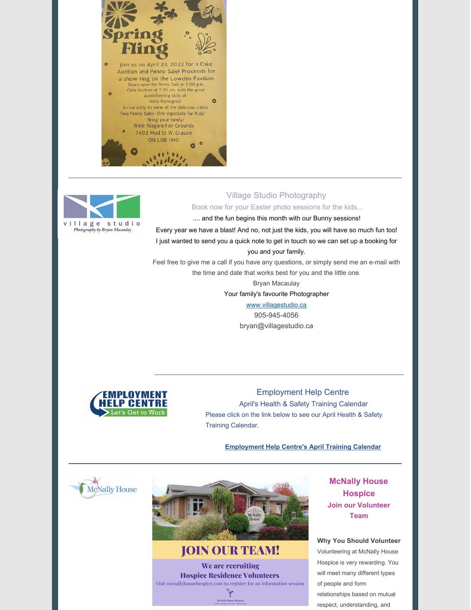



### Village Studio Photography

Book now for your Easter photo sessions for the kids...

.... and the fun begins this month with our Bunny sessions!

Every year we have a blast! And no, not just the kids, you will have so much fun too! I just wanted to send you a quick note to get in touch so we can set up a booking for you and your family.

Feel free to give me a call if you have any questions, or simply send me an e-mail with the time and date that works best for you and the little one.

> Bryan Macaulay Your family's favourite Photographer

> > [www.villagestudio.ca](https://villagestudio.lt.acemlnb.com/Prod/link-tracker?redirectUrl=aHR0cHMlM0ElMkYlMkZ2aWxsYWdlc3R1ZGlvLmx0LmFjZW1sbmIuY29tJTJGUHJvZCUyRmxpbmstdHJhY2tlciUzRm5vdHJhY2slM0QxJTI2bm90cmFjayUzRDElMjZyZWRpcmVjdFVybCUzRGFIUjBjQ1V6UVNVeVJpVXlSbmQzZHk1MmFXeHNZV2RsYzNSMVpHbHZMbU5oJTI2c2lnJTNEM2pwbUFoVGV5SzNaUjVtaDJrdUVkeEtVNVUydlk2SHQ2M0pLR0UzYjF0dlYlMjZpYXQlM0QxNjQ0NDIyOTYzJTI2YSUzRCUyNTdDJTI1N0MyNjAxMzg2MCUyNTdDJTI1N0MlMjZhY2NvdW50JTNEdmlsbGFnZXN0dWRpbyUyNTJFYWN0aXZlaG9zdGVkJTI1MkVjb20lMjZlbWFpbCUzRExSUlY2Z2xxSWZjVlBjWXNKQnJNSGklMjUyRlpEJTI1MkJtc1VGcEpyYzVmSGY2SW9WRSUyNTNEJTI2cyUzRGJhZDk3YzY1NTQ3NmY5NmEzOTBhNzJjMDVhNzQyMDExJTI2aSUzRDM3MUE5OTdBM0ExNzg4&sig=Aa5EXGEr5scoAACBFAX6pWyMjLEj2wH6PfUEYTUKVt8T&iat=1647000127&a=%7C%7C26013860%7C%7C&account=villagestudio%2Eactivehosted%2Ecom&email=PvRHlrKp588otXurn3UJfm5DMkrwsCKuZ7sj%2F0UFRzw%3D&s=e92a45f22ec2b899ea6f80a8fb776612&i=396A1048A1A1902) 905-945-4056 bryan@villagestudio.ca



### Employment Help Centre

April's Health & Safety Training Calendar Please click on the link below to see our April Health & Safety Training Calendar.

**[Employment](https://files.constantcontact.com/52397edd601/72a57418-991e-4e08-ad67-5d174f2773a2.pdf?rdr=true) Help Centre's April Training Calendar**





**JOIN OUR TEAM!** We are recruiting **Hospice Residence Volunteers** Visit mcnallyhousehospice.com to register for an information session ぎ

**McNally House Hospice Join our Volunteer Team**

#### **Why You Should Volunteer**

Volunteering at McNally House Hospice is very rewarding. You will meet many different types of people and form relationships based on mutual respect, understanding, and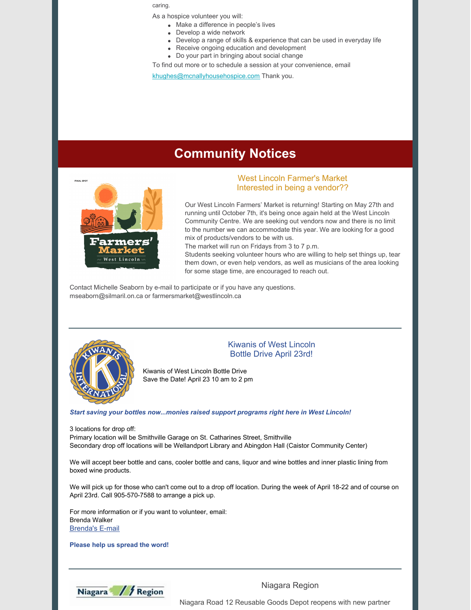caring.

As a hospice volunteer you will:

- Make a difference in people's lives
- Develop a wide network
- Develop a range of skills & experience that can be used in everyday life
- Receive ongoing education and development
- Do your part in bringing about social change

To find out more or to schedule a session at your convenience, email

[khughes@mcnallyhousehospice.com](mailto:khughes@mcnallyhousehospice.com) Thank you.

## **Community Notices**



### West Lincoln Farmer's Market Interested in being a vendor??

Our West Lincoln Farmers' Market is returning! Starting on May 27th and running until October 7th, it's being once again held at the West Lincoln Community Centre. We are seeking out vendors now and there is no limit to the number we can accommodate this year. We are looking for a good mix of products/vendors to be with us.

The market will run on Fridays from 3 to 7 p.m.

Students seeking volunteer hours who are willing to help set things up, tear them down, or even help vendors, as well as musicians of the area looking for some stage time, are encouraged to reach out.

Contact Michelle Seaborn by e-mail to participate or if you have any questions. mseaborn@silmaril.on.ca or farmersmarket@westlincoln.ca



### Kiwanis of West Lincoln Bottle Drive April 23rd!

Kiwanis of West Lincoln Bottle Drive Save the Date! April 23 10 am to 2 pm

*Start saving your bottles now...monies raised support programs right here in West Lincoln!*

3 locations for drop off:

Primary location will be Smithville Garage on St. Catharines Street, Smithville Secondary drop off locations will be Wellandport Library and Abingdon Hall (Caistor Community Center)

We will accept beer bottle and cans, cooler bottle and cans, liquor and wine bottles and inner plastic lining from boxed wine products.

We will pick up for those who can't come out to a drop off location. During the week of April 18-22 and of course on April 23rd. Call 905-570-7588 to arrange a pick up.

For more information or if you want to volunteer, email: Brenda Walker [Brenda's](mailto:Mydogkiz@gmail.com) E-mail

**Please help us spread the word!**



Niagara Region

Niagara Road 12 Reusable Goods Depot reopens with new partner